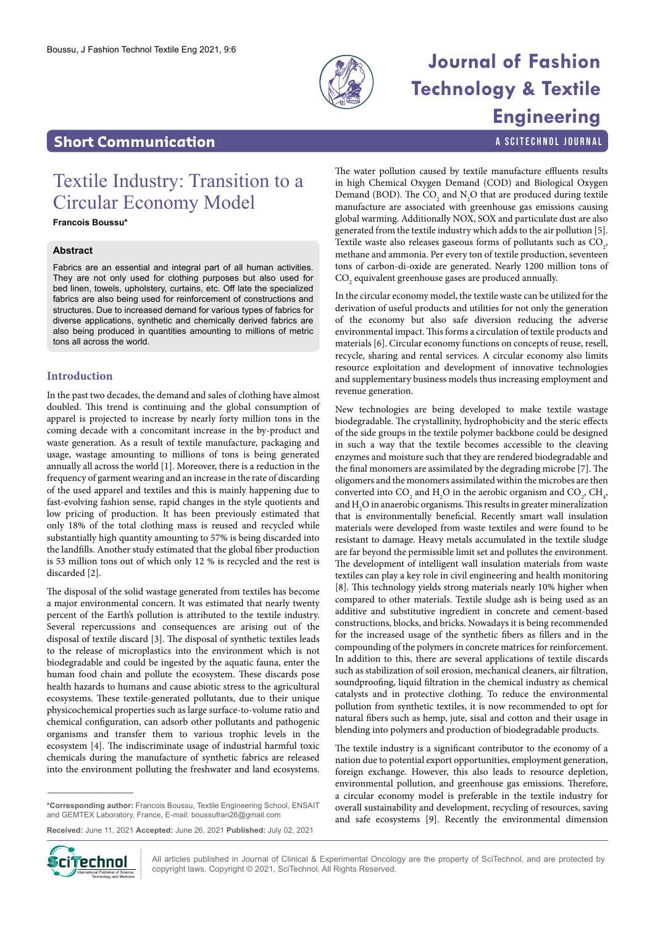

# **Journal of Fashion Technology & Textile Engineering**

a SciTechnol journal

### **Short Communication**

## Textile Industry: Transition to a Circular Economy Model

**Francois Boussu\***

#### **Abstract**

Fabrics are an essential and integral part of all human activities. They are not only used for clothing purposes but also used for bed linen, towels, upholstery, curtains, etc. Off late the specialized fabrics are also being used for reinforcement of constructions and structures. Due to increased demand for various types of fabrics for diverse applications, synthetic and chemically derived fabrics are also being produced in quantities amounting to millions of metric tons all across the world.

#### **Introduction**

In the past two decades, the demand and sales of clothing have almost doubled. This trend is continuing and the global consumption of apparel is projected to increase by nearly forty million tons in the coming decade with a concomitant increase in the by-product and waste generation. As a result of textile manufacture, packaging and usage, wastage amounting to millions of tons is being generated annually all across the world [1]. Moreover, there is a reduction in the frequency of garment wearing and an increase in the rate of discarding of the used apparel and textiles and this is mainly happening due to fast-evolving fashion sense, rapid changes in the style quotients and low pricing of production. It has been previously estimated that only 18% of the total clothing mass is reused and recycled while substantially high quantity amounting to 57% is being discarded into the landfills. Another study estimated that the global fiber production is 53 million tons out of which only 12 % is recycled and the rest is discarded [2].

The disposal of the solid wastage generated from textiles has become a major environmental concern. It was estimated that nearly twenty percent of the Earth's pollution is attributed to the textile industry. Several repercussions and consequences are arising out of the disposal of textile discard [3]. The disposal of synthetic textiles leads to the release of microplastics into the environment which is not biodegradable and could be ingested by the aquatic fauna, enter the human food chain and pollute the ecosystem. These discards pose health hazards to humans and cause abiotic stress to the agricultural ecosystems. These textile-generated pollutants, due to their unique physicochemical properties such as large surface-to-volume ratio and chemical configuration, can adsorb other pollutants and pathogenic organisms and transfer them to various trophic levels in the ecosystem [4]. The indiscriminate usage of industrial harmful toxic chemicals during the manufacture of synthetic fabrics are released into the environment polluting the freshwater and land ecosystems.

**\*Corresponding author:** Francois Boussu, Textile Engineering School, ENSAIT and GEMTEX Laboratory, France, E-mail: boussufran26@gmail.com

**Received:** June 11, 2021 **Accepted:** June 26, 2021 **Published:** July 02, 2021



All articles published in Journal of Clinical & Experimental Oncology are the property of SciTechnol, and are protected by **ciffechnol** All articles published in Journal of Clinical & Experimental Oncolo<br>copyright laws. Copyright © 2021, SciTechnol, All Rights Reserved.

The water pollution caused by textile manufacture effluents results in high Chemical Oxygen Demand (COD) and Biological Oxygen Demand (BOD). The  $CO_2$  and  $N_2O$  that are produced during textile manufacture are associated with greenhouse gas emissions causing global warming. Additionally NOX, SOX and particulate dust are also generated from the textile industry which adds to the air pollution [5]. Textile waste also releases gaseous forms of pollutants such as  $\mathrm{CO}_2$ , methane and ammonia. Per every ton of textile production, seventeen tons of carbon-di-oxide are generated. Nearly 1200 million tons of  $\mathrm{CO}_\mathrm{2}$  equivalent greenhouse gases are produced annually.

In the circular economy model, the textile waste can be utilized for the derivation of useful products and utilities for not only the generation of the economy but also safe diversion reducing the adverse environmental impact. This forms a circulation of textile products and materials [6]. Circular economy functions on concepts of reuse, resell, recycle, sharing and rental services. A circular economy also limits resource exploitation and development of innovative technologies and supplementary business models thus increasing employment and revenue generation.

New technologies are being developed to make textile wastage biodegradable. The crystallinity, hydrophobicity and the steric effects of the side groups in the textile polymer backbone could be designed in such a way that the textile becomes accessible to the cleaving enzymes and moisture such that they are rendered biodegradable and the final monomers are assimilated by the degrading microbe [7]. The oligomers and the monomers assimilated within the microbes are then converted into  $CO_2$  and  $H_2O$  in the aerobic organism and  $CO_2$ ,  $CH_4$ , and  $\rm H_2O$  in anaerobic organisms. This results in greater mineralization that is environmentally beneficial. Recently smart wall insulation materials were developed from waste textiles and were found to be resistant to damage. Heavy metals accumulated in the textile sludge are far beyond the permissible limit set and pollutes the environment. The development of intelligent wall insulation materials from waste textiles can play a key role in civil engineering and health monitoring [8]. This technology yields strong materials nearly 10% higher when compared to other materials. Textile sludge ash is being used as an additive and substitutive ingredient in concrete and cement-based constructions, blocks, and bricks. Nowadays it is being recommended for the increased usage of the synthetic fibers as fillers and in the compounding of the polymers in concrete matrices for reinforcement. In addition to this, there are several applications of textile discards such as stabilization of soil erosion, mechanical cleaners, air filtration, soundproofing, liquid filtration in the chemical industry as chemical catalysts and in protective clothing. To reduce the environmental pollution from synthetic textiles, it is now recommended to opt for natural fibers such as hemp, jute, sisal and cotton and their usage in blending into polymers and production of biodegradable products.

The textile industry is a significant contributor to the economy of a nation due to potential export opportunities, employment generation, foreign exchange. However, this also leads to resource depletion, environmental pollution, and greenhouse gas emissions. Therefore, a circular economy model is preferable in the textile industry for overall sustainability and development, recycling of resources, saving and safe ecosystems [9]. Recently the environmental dimension